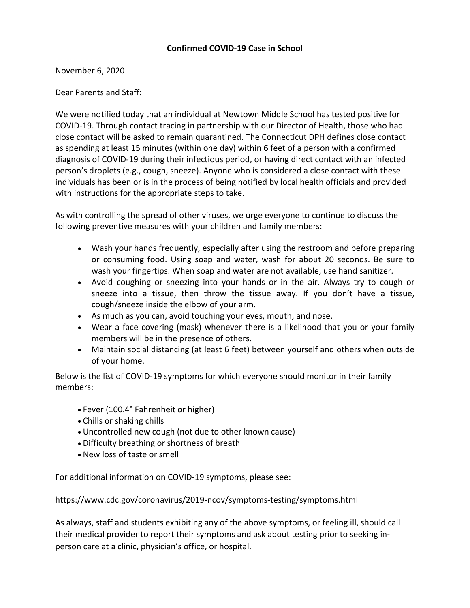## **Confirmed COVID-19 Case in School**

November 6, 2020

Dear Parents and Staff:

We were notified today that an individual at Newtown Middle School has tested positive for COVID-19. Through contact tracing in partnership with our Director of Health, those who had close contact will be asked to remain quarantined. The Connecticut DPH defines close contact as spending at least 15 minutes (within one day) within 6 feet of a person with a confirmed diagnosis of COVID-19 during their infectious period, or having direct contact with an infected person's droplets (e.g., cough, sneeze). Anyone who is considered a close contact with these individuals has been or is in the process of being notified by local health officials and provided with instructions for the appropriate steps to take.

As with controlling the spread of other viruses, we urge everyone to continue to discuss the following preventive measures with your children and family members:

- Wash your hands frequently, especially after using the restroom and before preparing or consuming food. Using soap and water, wash for about 20 seconds. Be sure to wash your fingertips. When soap and water are not available, use hand sanitizer.
- Avoid coughing or sneezing into your hands or in the air. Always try to cough or sneeze into a tissue, then throw the tissue away. If you don't have a tissue, cough/sneeze inside the elbow of your arm.
- As much as you can, avoid touching your eyes, mouth, and nose.
- Wear a face covering (mask) whenever there is a likelihood that you or your family members will be in the presence of others.
- Maintain social distancing (at least 6 feet) between yourself and others when outside of your home.

Below is the list of COVID-19 symptoms for which everyone should monitor in their family members:

- Fever (100.4° Fahrenheit or higher)
- Chills or shaking chills
- Uncontrolled new cough (not due to other known cause)
- Difficulty breathing or shortness of breath
- New loss of taste or smell

For additional information on COVID-19 symptoms, please see:

## [https://www.cdc.gov/coronavirus/2019-ncov/symptoms-testing/symptoms.html](http://track.spe.schoolmessenger.com/f/a/w2NvpEl1XshevuYglYq4cw~~/AAAAAQA~/RgRhQj9DP0RIaHR0cHM6Ly93d3cuY2RjLmdvdi9jb3JvbmF2aXJ1cy8yMDE5LW5jb3Yvc3ltcHRvbXMtdGVzdGluZy9zeW1wdG9tcy5odG1sVwdzY2hvb2xtQgoARsMLYV__REyRUhtyb2RyaWd1ZWxAbmV3dG93bi5rMTIuY3QudXNYBAAAAAE~)

As always, staff and students exhibiting any of the above symptoms, or feeling ill, should call their medical provider to report their symptoms and ask about testing prior to seeking inperson care at a clinic, physician's office, or hospital.